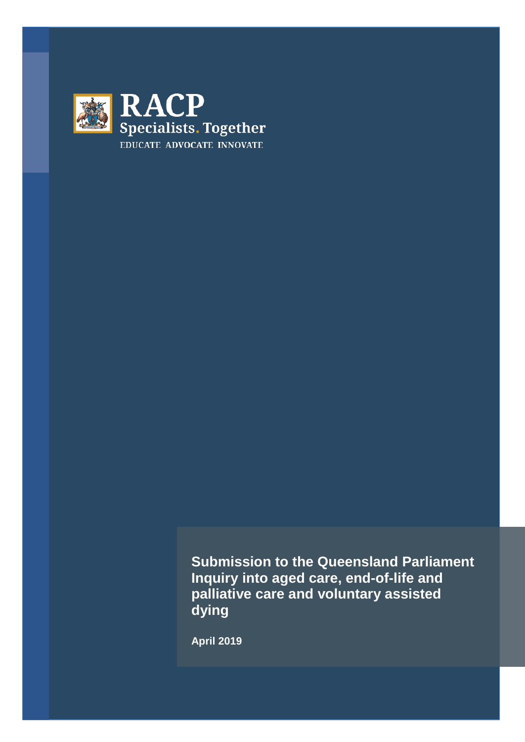

**Submission to the Queensland Parliament Inquiry into aged care, end-of-life and palliative care and voluntary assisted dying** 

**April 2019**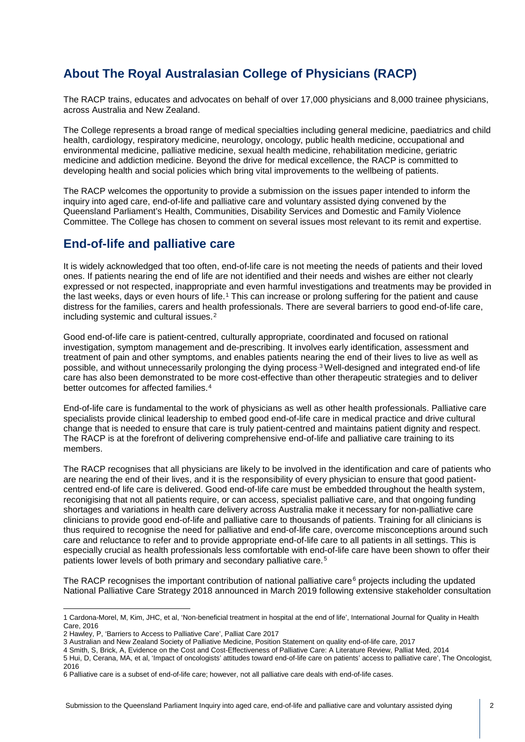# **About The Royal Australasian College of Physicians (RACP)**

The RACP trains, educates and advocates on behalf of over 17,000 physicians and 8,000 trainee physicians, across Australia and New Zealand.

The College represents a broad range of medical specialties including general medicine, paediatrics and child health, cardiology, respiratory medicine, neurology, oncology, public health medicine, occupational and environmental medicine, palliative medicine, sexual health medicine, rehabilitation medicine, geriatric medicine and addiction medicine. Beyond the drive for medical excellence, the RACP is committed to developing health and social policies which bring vital improvements to the wellbeing of patients.

The RACP welcomes the opportunity to provide a submission on the issues paper intended to inform the inquiry into aged care, end-of-life and palliative care and voluntary assisted dying convened by the Queensland Parliament's Health, Communities, Disability Services and Domestic and Family Violence Committee. The College has chosen to comment on several issues most relevant to its remit and expertise.

# **End-of-life and palliative care**

It is widely acknowledged that too often, end-of-life care is not meeting the needs of patients and their loved ones. If patients nearing the end of life are not identified and their needs and wishes are either not clearly expressed or not respected, inappropriate and even harmful investigations and treatments may be provided in the last weeks, days or even hours of life.[1](#page-1-0) This can increase or prolong suffering for the patient and cause distress for the families, carers and health professionals. There are several barriers to good end-of-life care, including systemic and cultural issues.[2](#page-1-1)

Good end-of-life care is patient-centred, culturally appropriate, coordinated and focused on rational investigation, symptom management and de-prescribing. It involves early identification, assessment and treatment of pain and other symptoms, and enables patients nearing the end of their lives to live as well as possible, and without unnecessarily prolonging the dying process.[3](#page-1-2) Well-designed and integrated end-of life care has also been demonstrated to be more cost-effective than other therapeutic strategies and to deliver better outcomes for affected families.<sup>[4](#page-1-3)</sup>

End-of-life care is fundamental to the work of physicians as well as other health professionals. Palliative care specialists provide clinical leadership to embed good end-of-life care in medical practice and drive cultural change that is needed to ensure that care is truly patient-centred and maintains patient dignity and respect. The RACP is at the forefront of delivering comprehensive end-of-life and palliative care training to its members.

The RACP recognises that all physicians are likely to be involved in the identification and care of patients who are nearing the end of their lives, and it is the responsibility of every physician to ensure that good patientcentred end-of life care is delivered. Good end-of-life care must be embedded throughout the health system, reconigising that not all patients require, or can access, specialist palliative care, and that ongoing funding shortages and variations in health care delivery across Australia make it necessary for non-palliative care clinicians to provide good end-of-life and palliative care to thousands of patients. Training for all clinicians is thus required to recognise the need for palliative and end-of-life care, overcome misconceptions around such care and reluctance to refer and to provide appropriate end-of-life care to all patients in all settings. This is especially crucial as health professionals less comfortable with end-of-life care have been shown to offer their patients lower levels of both primary and secondary palliative care.[5](#page-1-4)

The RACP recognises the important contribution of national palliative care $6$  projects including the updated National Palliative Care Strategy 2018 announced in March 2019 following extensive stakeholder consultation

<span id="page-1-0"></span><sup>1</sup> Cardona-Morel, M, Kim, JHC, et al, 'Non-beneficial treatment in hospital at the end of life', International Journal for Quality in Health Care, 2016

<span id="page-1-1"></span><sup>2</sup> Hawley, P, 'Barriers to Access to Palliative Care', Palliat Care 2017

<span id="page-1-2"></span><sup>3</sup> Australian and New Zealand Society of Palliative Medicine, Position Statement on quality end-of-life care, 2017

<span id="page-1-4"></span><span id="page-1-3"></span><sup>4</sup> Smith, S, Brick, A, Evidence on the Cost and Cost-Effectiveness of Palliative Care: A Literature Review, Palliat Med, 2014 5 Hui, D, Cerana, MA, et al, 'Impact of oncologists' attitudes toward end-of-life care on patients' access to palliative care', The Oncologist, 2016

<span id="page-1-5"></span><sup>6</sup> Palliative care is a subset of end-of-life care; however, not all palliative care deals with end-of-life cases.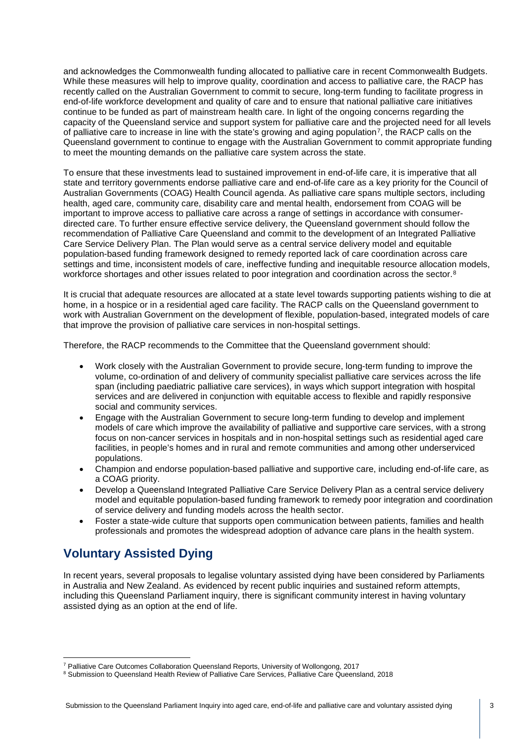and acknowledges the Commonwealth funding allocated to palliative care in recent Commonwealth Budgets. While these measures will help to improve quality, coordination and access to palliative care, the RACP has recently called on the Australian Government to commit to secure, long-term funding to facilitate progress in end-of-life workforce development and quality of care and to ensure that national palliative care initiatives continue to be funded as part of mainstream health care. In light of the ongoing concerns regarding the capacity of the Queensland service and support system for palliative care and the projected need for all levels of palliative care to increase in line with the state's growing and aging population[7](#page-2-0), the RACP calls on the Queensland government to continue to engage with the Australian Government to commit appropriate funding to meet the mounting demands on the palliative care system across the state.

To ensure that these investments lead to sustained improvement in end-of-life care, it is imperative that all state and territory governments endorse palliative care and end-of-life care as a key priority for the Council of Australian Governments (COAG) Health Council agenda. As palliative care spans multiple sectors, including health, aged care, community care, disability care and mental health, endorsement from COAG will be important to improve access to palliative care across a range of settings in accordance with consumerdirected care. To further ensure effective service delivery, the Queensland government should follow the recommendation of Palliative Care Queensland and commit to the development of an Integrated Palliative Care Service Delivery Plan. The Plan would serve as a central service delivery model and equitable population-based funding framework designed to remedy reported lack of care coordination across care settings and time, inconsistent models of care, ineffective funding and inequitable resource allocation models, workforce shortages and other issues related to poor integration and coordination across the sector.<sup>[8](#page-2-1)</sup>

It is crucial that adequate resources are allocated at a state level towards supporting patients wishing to die at home, in a hospice or in a residential aged care facility. The RACP calls on the Queensland government to work with Australian Government on the development of flexible, population-based, integrated models of care that improve the provision of palliative care services in non-hospital settings.

Therefore, the RACP recommends to the Committee that the Queensland government should:

- Work closely with the Australian Government to provide secure, long-term funding to improve the volume, co-ordination of and delivery of community specialist palliative care services across the life span (including paediatric palliative care services), in ways which support integration with hospital services and are delivered in conjunction with equitable access to flexible and rapidly responsive social and community services.
- Engage with the Australian Government to secure long-term funding to develop and implement models of care which improve the availability of palliative and supportive care services, with a strong focus on non-cancer services in hospitals and in non-hospital settings such as residential aged care facilities, in people's homes and in rural and remote communities and among other underserviced populations.
- Champion and endorse population-based palliative and supportive care, including end-of-life care, as a COAG priority.
- Develop a Queensland Integrated Palliative Care Service Delivery Plan as a central service delivery model and equitable population-based funding framework to remedy poor integration and coordination of service delivery and funding models across the health sector.
- Foster a state-wide culture that supports open communication between patients, families and health professionals and promotes the widespread adoption of advance care plans in the health system.

# **Voluntary Assisted Dying**

In recent years, several proposals to legalise voluntary assisted dying have been considered by Parliaments in Australia and New Zealand. As evidenced by recent public inquiries and sustained reform attempts, including this Queensland Parliament inquiry, there is significant community interest in having voluntary assisted dying as an option at the end of life.

<span id="page-2-0"></span><sup>7</sup> Palliative Care Outcomes Collaboration Queensland Reports, University of Wollongong, 2017

<span id="page-2-1"></span><sup>8</sup> Submission to Queensland Health Review of Palliative Care Services, Palliative Care Queensland, 2018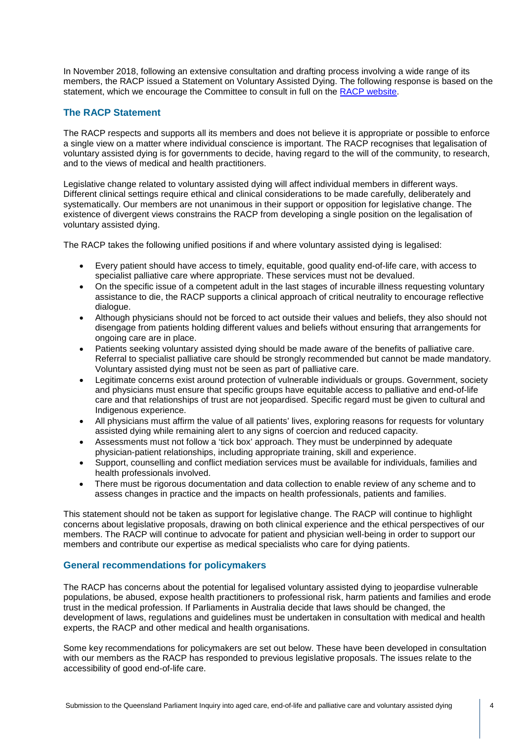In November 2018, following an extensive consultation and drafting process involving a wide range of its members, the RACP issued a Statement on Voluntary Assisted Dying. The following response is based on the statement, which we encourage the Committee to consult in full on the [RACP website.](https://www.racp.edu.au/docs/default-source/advocacy-library/racp-voluntary-assisted-dying-statement-november-2018.pdf?sfvrsn=761d121a_4)

## **The RACP Statement**

The RACP respects and supports all its members and does not believe it is appropriate or possible to enforce a single view on a matter where individual conscience is important. The RACP recognises that legalisation of voluntary assisted dying is for governments to decide, having regard to the will of the community, to research, and to the views of medical and health practitioners.

Legislative change related to voluntary assisted dying will affect individual members in different ways. Different clinical settings require ethical and clinical considerations to be made carefully, deliberately and systematically. Our members are not unanimous in their support or opposition for legislative change. The existence of divergent views constrains the RACP from developing a single position on the legalisation of voluntary assisted dying.

The RACP takes the following unified positions if and where voluntary assisted dying is legalised:

- Every patient should have access to timely, equitable, good quality end-of-life care, with access to specialist palliative care where appropriate. These services must not be devalued.
- On the specific issue of a competent adult in the last stages of incurable illness requesting voluntary assistance to die, the RACP supports a clinical approach of critical neutrality to encourage reflective dialogue.
- Although physicians should not be forced to act outside their values and beliefs, they also should not disengage from patients holding different values and beliefs without ensuring that arrangements for ongoing care are in place.
- Patients seeking voluntary assisted dying should be made aware of the benefits of palliative care. Referral to specialist palliative care should be strongly recommended but cannot be made mandatory. Voluntary assisted dying must not be seen as part of palliative care.
- Legitimate concerns exist around protection of vulnerable individuals or groups. Government, society and physicians must ensure that specific groups have equitable access to palliative and end-of-life care and that relationships of trust are not jeopardised. Specific regard must be given to cultural and Indigenous experience.
- All physicians must affirm the value of all patients' lives, exploring reasons for requests for voluntary assisted dying while remaining alert to any signs of coercion and reduced capacity.
- Assessments must not follow a 'tick box' approach. They must be underpinned by adequate physician-patient relationships, including appropriate training, skill and experience.
- Support, counselling and conflict mediation services must be available for individuals, families and health professionals involved.
- There must be rigorous documentation and data collection to enable review of any scheme and to assess changes in practice and the impacts on health professionals, patients and families.

This statement should not be taken as support for legislative change. The RACP will continue to highlight concerns about legislative proposals, drawing on both clinical experience and the ethical perspectives of our members. The RACP will continue to advocate for patient and physician well-being in order to support our members and contribute our expertise as medical specialists who care for dying patients.

#### **General recommendations for policymakers**

The RACP has concerns about the potential for legalised voluntary assisted dying to jeopardise vulnerable populations, be abused, expose health practitioners to professional risk, harm patients and families and erode trust in the medical profession. If Parliaments in Australia decide that laws should be changed, the development of laws, regulations and guidelines must be undertaken in consultation with medical and health experts, the RACP and other medical and health organisations.

Some key recommendations for policymakers are set out below. These have been developed in consultation with our members as the RACP has responded to previous legislative proposals. The issues relate to the accessibility of good end-of-life care.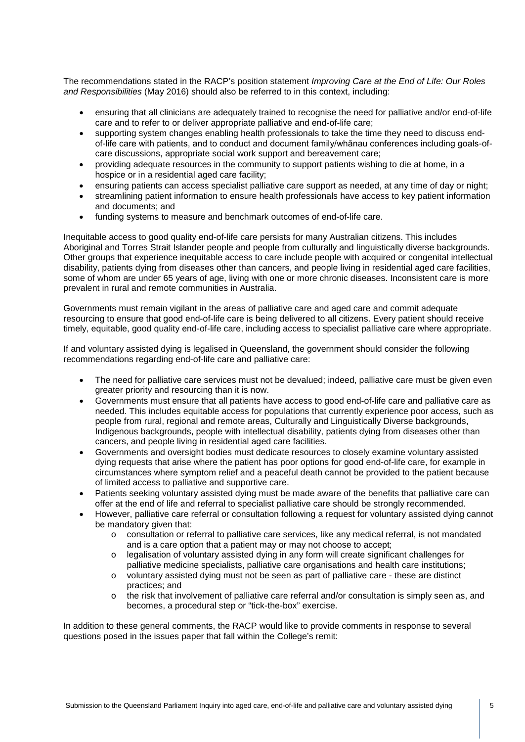The recommendations stated in the RACP's position statement *Improving Care at the End of Life: Our Roles and Responsibilities* (May 2016) should also be referred to in this context, including:

- ensuring that all clinicians are adequately trained to recognise the need for palliative and/or end-of-life care and to refer to or deliver appropriate palliative and end-of-life care;
- supporting system changes enabling health professionals to take the time they need to discuss endof-life care with patients, and to conduct and document family/whānau conferences including goals-ofcare discussions, appropriate social work support and bereavement care;
- providing adequate resources in the community to support patients wishing to die at home, in a hospice or in a residential aged care facility;
- ensuring patients can access specialist palliative care support as needed, at any time of day or night;
- streamlining patient information to ensure health professionals have access to key patient information and documents; and
- funding systems to measure and benchmark outcomes of end-of-life care.

Inequitable access to good quality end-of-life care persists for many Australian citizens. This includes Aboriginal and Torres Strait Islander people and people from culturally and linguistically diverse backgrounds. Other groups that experience inequitable access to care include people with acquired or congenital intellectual disability, patients dying from diseases other than cancers, and people living in residential aged care facilities, some of whom are under 65 years of age, living with one or more chronic diseases. Inconsistent care is more prevalent in rural and remote communities in Australia.

Governments must remain vigilant in the areas of palliative care and aged care and commit adequate resourcing to ensure that good end-of-life care is being delivered to all citizens. Every patient should receive timely, equitable, good quality end-of-life care, including access to specialist palliative care where appropriate.

If and voluntary assisted dying is legalised in Queensland, the government should consider the following recommendations regarding end-of-life care and palliative care:

- The need for palliative care services must not be devalued; indeed, palliative care must be given even greater priority and resourcing than it is now.
- Governments must ensure that all patients have access to good end-of-life care and palliative care as needed. This includes equitable access for populations that currently experience poor access, such as people from rural, regional and remote areas, Culturally and Linguistically Diverse backgrounds, Indigenous backgrounds, people with intellectual disability, patients dying from diseases other than cancers, and people living in residential aged care facilities.
- Governments and oversight bodies must dedicate resources to closely examine voluntary assisted dying requests that arise where the patient has poor options for good end-of-life care, for example in circumstances where symptom relief and a peaceful death cannot be provided to the patient because of limited access to palliative and supportive care.
- Patients seeking voluntary assisted dying must be made aware of the benefits that palliative care can offer at the end of life and referral to specialist palliative care should be strongly recommended.
- However, palliative care referral or consultation following a request for voluntary assisted dying cannot be mandatory given that:
	- o consultation or referral to palliative care services, like any medical referral, is not mandated and is a care option that a patient may or may not choose to accept;
	- o legalisation of voluntary assisted dying in any form will create significant challenges for palliative medicine specialists, palliative care organisations and health care institutions;
	- o voluntary assisted dying must not be seen as part of palliative care these are distinct practices; and
	- o the risk that involvement of palliative care referral and/or consultation is simply seen as, and becomes, a procedural step or "tick-the-box" exercise.

In addition to these general comments, the RACP would like to provide comments in response to several questions posed in the issues paper that fall within the College's remit: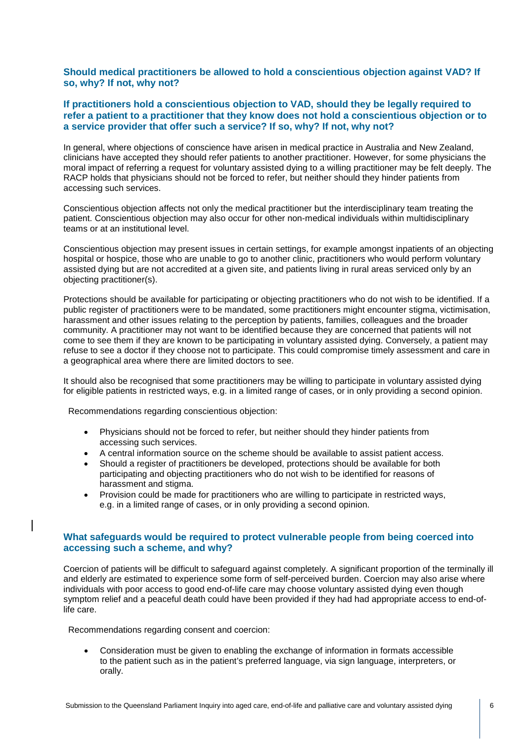#### **Should medical practitioners be allowed to hold a conscientious objection against VAD? If so, why? If not, why not?**

### **If practitioners hold a conscientious objection to VAD, should they be legally required to refer a patient to a practitioner that they know does not hold a conscientious objection or to a service provider that offer such a service? If so, why? If not, why not?**

In general, where objections of conscience have arisen in medical practice in Australia and New Zealand, clinicians have accepted they should refer patients to another practitioner. However, for some physicians the moral impact of referring a request for voluntary assisted dying to a willing practitioner may be felt deeply. The RACP holds that physicians should not be forced to refer, but neither should they hinder patients from accessing such services.

Conscientious objection affects not only the medical practitioner but the interdisciplinary team treating the patient. Conscientious objection may also occur for other non-medical individuals within multidisciplinary teams or at an institutional level.

Conscientious objection may present issues in certain settings, for example amongst inpatients of an objecting hospital or hospice, those who are unable to go to another clinic, practitioners who would perform voluntary assisted dying but are not accredited at a given site, and patients living in rural areas serviced only by an objecting practitioner(s).

Protections should be available for participating or objecting practitioners who do not wish to be identified. If a public register of practitioners were to be mandated, some practitioners might encounter stigma, victimisation, harassment and other issues relating to the perception by patients, families, colleagues and the broader community. A practitioner may not want to be identified because they are concerned that patients will not come to see them if they are known to be participating in voluntary assisted dying. Conversely, a patient may refuse to see a doctor if they choose not to participate. This could compromise timely assessment and care in a geographical area where there are limited doctors to see.

It should also be recognised that some practitioners may be willing to participate in voluntary assisted dying for eligible patients in restricted ways, e.g. in a limited range of cases, or in only providing a second opinion.

Recommendations regarding conscientious objection:

- Physicians should not be forced to refer, but neither should they hinder patients from accessing such services.
- A central information source on the scheme should be available to assist patient access.
- Should a register of practitioners be developed, protections should be available for both participating and objecting practitioners who do not wish to be identified for reasons of harassment and stigma.
- Provision could be made for practitioners who are willing to participate in restricted ways, e.g. in a limited range of cases, or in only providing a second opinion.

#### **What safeguards would be required to protect vulnerable people from being coerced into accessing such a scheme, and why?**

Coercion of patients will be difficult to safeguard against completely. A significant proportion of the terminally ill and elderly are estimated to experience some form of self-perceived burden. Coercion may also arise where individuals with poor access to good end-of-life care may choose voluntary assisted dying even though symptom relief and a peaceful death could have been provided if they had had appropriate access to end-oflife care.

Recommendations regarding consent and coercion:

• Consideration must be given to enabling the exchange of information in formats accessible to the patient such as in the patient's preferred language, via sign language, interpreters, or orally.